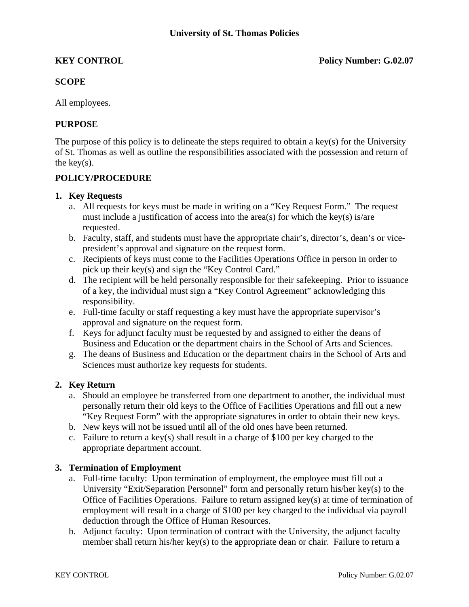# **SCOPE**

All employees.

# **PURPOSE**

The purpose of this policy is to delineate the steps required to obtain a key(s) for the University of St. Thomas as well as outline the responsibilities associated with the possession and return of the key $(s)$ .

### **POLICY/PROCEDURE**

### **1. Key Requests**

- a. All requests for keys must be made in writing on a "Key Request Form." The request must include a justification of access into the area(s) for which the key(s) is/are requested.
- b. Faculty, staff, and students must have the appropriate chair's, director's, dean's or vicepresident's approval and signature on the request form.
- c. Recipients of keys must come to the Facilities Operations Office in person in order to pick up their key(s) and sign the "Key Control Card."
- d. The recipient will be held personally responsible for their safekeeping. Prior to issuance of a key, the individual must sign a "Key Control Agreement" acknowledging this responsibility.
- e. Full-time faculty or staff requesting a key must have the appropriate supervisor's approval and signature on the request form.
- f. Keys for adjunct faculty must be requested by and assigned to either the deans of Business and Education or the department chairs in the School of Arts and Sciences.
- g. The deans of Business and Education or the department chairs in the School of Arts and Sciences must authorize key requests for students.

# **2. Key Return**

- a. Should an employee be transferred from one department to another, the individual must personally return their old keys to the Office of Facilities Operations and fill out a new "Key Request Form" with the appropriate signatures in order to obtain their new keys.
- b. New keys will not be issued until all of the old ones have been returned.
- c. Failure to return a key(s) shall result in a charge of \$100 per key charged to the appropriate department account.

# **3. Termination of Employment**

- a. Full-time faculty: Upon termination of employment, the employee must fill out a University "Exit/Separation Personnel" form and personally return his/her key(s) to the Office of Facilities Operations. Failure to return assigned key(s) at time of termination of employment will result in a charge of \$100 per key charged to the individual via payroll deduction through the Office of Human Resources.
- b. Adjunct faculty: Upon termination of contract with the University, the adjunct faculty member shall return his/her key(s) to the appropriate dean or chair. Failure to return a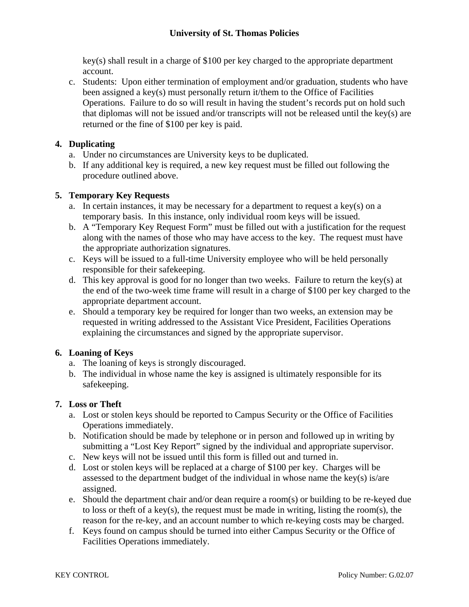# **University of St. Thomas Policies**

key(s) shall result in a charge of \$100 per key charged to the appropriate department account.

c. Students: Upon either termination of employment and/or graduation, students who have been assigned a key(s) must personally return it/them to the Office of Facilities Operations. Failure to do so will result in having the student's records put on hold such that diplomas will not be issued and/or transcripts will not be released until the key(s) are returned or the fine of \$100 per key is paid.

# **4. Duplicating**

- a. Under no circumstances are University keys to be duplicated.
- b. If any additional key is required, a new key request must be filled out following the procedure outlined above.

### **5. Temporary Key Requests**

- a. In certain instances, it may be necessary for a department to request a key(s) on a temporary basis. In this instance, only individual room keys will be issued.
- b. A "Temporary Key Request Form" must be filled out with a justification for the request along with the names of those who may have access to the key. The request must have the appropriate authorization signatures.
- c. Keys will be issued to a full-time University employee who will be held personally responsible for their safekeeping.
- d. This key approval is good for no longer than two weeks. Failure to return the key(s) at the end of the two-week time frame will result in a charge of \$100 per key charged to the appropriate department account.
- e. Should a temporary key be required for longer than two weeks, an extension may be requested in writing addressed to the Assistant Vice President, Facilities Operations explaining the circumstances and signed by the appropriate supervisor.

# **6. Loaning of Keys**

- a. The loaning of keys is strongly discouraged.
- b. The individual in whose name the key is assigned is ultimately responsible for its safekeeping.

#### **7. Loss or Theft**

- a. Lost or stolen keys should be reported to Campus Security or the Office of Facilities Operations immediately.
- b. Notification should be made by telephone or in person and followed up in writing by submitting a "Lost Key Report" signed by the individual and appropriate supervisor.
- c. New keys will not be issued until this form is filled out and turned in.
- d. Lost or stolen keys will be replaced at a charge of \$100 per key. Charges will be assessed to the department budget of the individual in whose name the key(s) is/are assigned.
- e. Should the department chair and/or dean require a room(s) or building to be re-keyed due to loss or theft of a key(s), the request must be made in writing, listing the room(s), the reason for the re-key, and an account number to which re-keying costs may be charged.
- f. Keys found on campus should be turned into either Campus Security or the Office of Facilities Operations immediately.